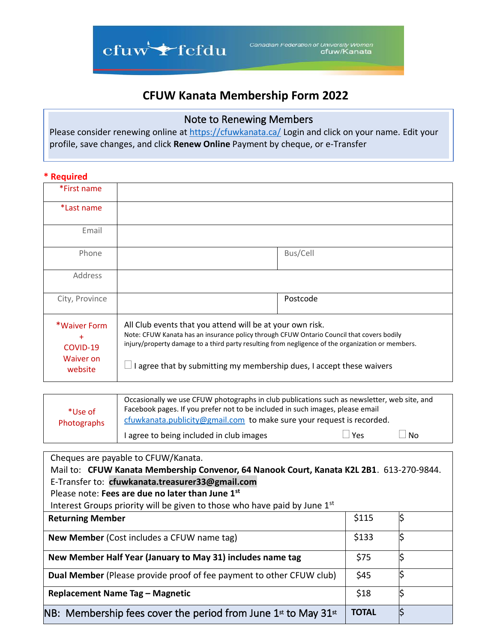

## **CFUW Kanata Membership Form 2022**

## Note to Renewing Members

Please consider renewing online at <https://cfuwkanata.ca/> Login and click on your name. Edit your profile, save changes, and click **Renew Online** Payment by cheque, or e-Transfer

## **\* Required**

| *First name                                             |                                                                                                                                                                                                                                                                                                                                      |  |
|---------------------------------------------------------|--------------------------------------------------------------------------------------------------------------------------------------------------------------------------------------------------------------------------------------------------------------------------------------------------------------------------------------|--|
| *Last name                                              |                                                                                                                                                                                                                                                                                                                                      |  |
| Email                                                   |                                                                                                                                                                                                                                                                                                                                      |  |
| Phone                                                   | Bus/Cell                                                                                                                                                                                                                                                                                                                             |  |
| Address                                                 |                                                                                                                                                                                                                                                                                                                                      |  |
| City, Province                                          | Postcode                                                                                                                                                                                                                                                                                                                             |  |
| *Waiver Form<br>$+$<br>COVID-19<br>Waiver on<br>website | All Club events that you attend will be at your own risk.<br>Note: CFUW Kanata has an insurance policy through CFUW Ontario Council that covers bodily<br>injury/property damage to a third party resulting from negligence of the organization or members.<br>I agree that by submitting my membership dues, I accept these waivers |  |

| *Use of<br>Photographs | Occasionally we use CFUW photographs in club publications such as newsletter, web site, and<br>Facebook pages. If you prefer not to be included in such images, please email<br>cfuwkanata.publicity@gmail.com to make sure your request is recorded. |     |      |
|------------------------|-------------------------------------------------------------------------------------------------------------------------------------------------------------------------------------------------------------------------------------------------------|-----|------|
|                        | I agree to being included in club images                                                                                                                                                                                                              | Yes | l No |

| Cheques are payable to CFUW/Kanata.                                                      |              |    |  |  |  |
|------------------------------------------------------------------------------------------|--------------|----|--|--|--|
| Mail to: CFUW Kanata Membership Convenor, 64 Nanook Court, Kanata K2L 2B1. 613-270-9844. |              |    |  |  |  |
| E-Transfer to: cfuwkanata.treasurer33@gmail.com                                          |              |    |  |  |  |
| Please note: Fees are due no later than June 1st                                         |              |    |  |  |  |
| Interest Groups priority will be given to those who have paid by June 1st                |              |    |  |  |  |
| <b>Returning Member</b>                                                                  | \$115        | \$ |  |  |  |
| New Member (Cost includes a CFUW name tag)                                               | \$133        |    |  |  |  |
| New Member Half Year (January to May 31) includes name tag                               | \$75         |    |  |  |  |
| Dual Member (Please provide proof of fee payment to other CFUW club)                     | \$45         |    |  |  |  |
| Replacement Name Tag - Magnetic                                                          | \$18         |    |  |  |  |
| NB: Membership fees cover the period from June $1st$ to May 31 $st$                      | <b>TOTAL</b> | \$ |  |  |  |